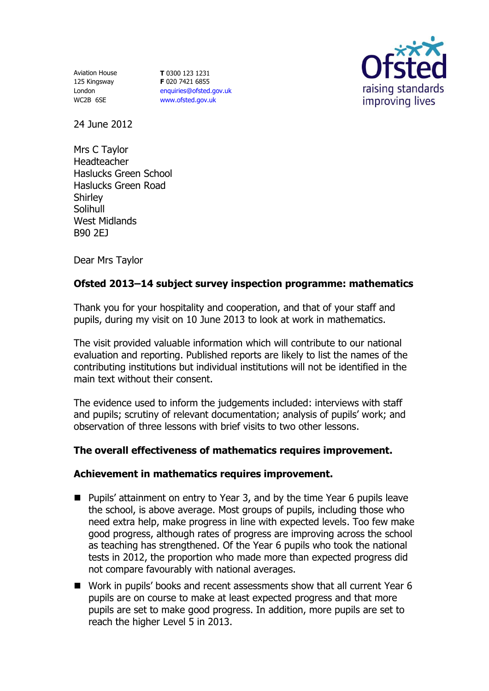Aviation House 125 Kingsway London WC2B 6SE

**T** 0300 123 1231 **F** 020 7421 6855 [enquiries@ofsted.gov.uk](mailto:enquiries@ofsted.gov.uk) [www.ofsted.gov.uk](http://www.ofsted.gov.uk/)



24 June 2012

Mrs C Taylor Headteacher Haslucks Green School Haslucks Green Road **Shirley Solihull** West Midlands B90 2EJ

Dear Mrs Taylor

## **Ofsted 2013–14 subject survey inspection programme: mathematics**

Thank you for your hospitality and cooperation, and that of your staff and pupils, during my visit on 10 June 2013 to look at work in mathematics.

The visit provided valuable information which will contribute to our national evaluation and reporting. Published reports are likely to list the names of the contributing institutions but individual institutions will not be identified in the main text without their consent.

The evidence used to inform the judgements included: interviews with staff and pupils; scrutiny of relevant documentation; analysis of pupils' work; and observation of three lessons with brief visits to two other lessons.

## **The overall effectiveness of mathematics requires improvement.**

## **Achievement in mathematics requires improvement.**

- Pupils' attainment on entry to Year 3, and by the time Year 6 pupils leave the school, is above average. Most groups of pupils, including those who need extra help, make progress in line with expected levels. Too few make good progress, although rates of progress are improving across the school as teaching has strengthened. Of the Year 6 pupils who took the national tests in 2012, the proportion who made more than expected progress did not compare favourably with national averages.
- Work in pupils' books and recent assessments show that all current Year 6 pupils are on course to make at least expected progress and that more pupils are set to make good progress. In addition, more pupils are set to reach the higher Level 5 in 2013.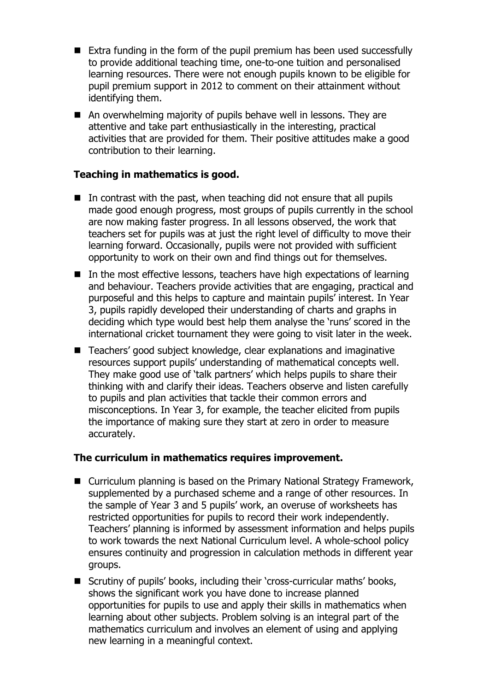- Extra funding in the form of the pupil premium has been used successfully to provide additional teaching time, one-to-one tuition and personalised learning resources. There were not enough pupils known to be eligible for pupil premium support in 2012 to comment on their attainment without identifying them.
- An overwhelming majority of pupils behave well in lessons. They are attentive and take part enthusiastically in the interesting, practical activities that are provided for them. Their positive attitudes make a good contribution to their learning.

### **Teaching in mathematics is good.**

- $\blacksquare$  In contrast with the past, when teaching did not ensure that all pupils made good enough progress, most groups of pupils currently in the school are now making faster progress. In all lessons observed, the work that teachers set for pupils was at just the right level of difficulty to move their learning forward. Occasionally, pupils were not provided with sufficient opportunity to work on their own and find things out for themselves.
- In the most effective lessons, teachers have high expectations of learning and behaviour. Teachers provide activities that are engaging, practical and purposeful and this helps to capture and maintain pupils' interest. In Year 3, pupils rapidly developed their understanding of charts and graphs in deciding which type would best help them analyse the 'runs' scored in the international cricket tournament they were going to visit later in the week.
- Teachers' good subject knowledge, clear explanations and imaginative resources support pupils' understanding of mathematical concepts well. They make good use of 'talk partners' which helps pupils to share their thinking with and clarify their ideas. Teachers observe and listen carefully to pupils and plan activities that tackle their common errors and misconceptions. In Year 3, for example, the teacher elicited from pupils the importance of making sure they start at zero in order to measure accurately.

#### **The curriculum in mathematics requires improvement.**

- Curriculum planning is based on the Primary National Strategy Framework, supplemented by a purchased scheme and a range of other resources. In the sample of Year 3 and 5 pupils' work, an overuse of worksheets has restricted opportunities for pupils to record their work independently. Teachers' planning is informed by assessment information and helps pupils to work towards the next National Curriculum level. A whole-school policy ensures continuity and progression in calculation methods in different year groups.
- Scrutiny of pupils' books, including their 'cross-curricular maths' books, shows the significant work you have done to increase planned opportunities for pupils to use and apply their skills in mathematics when learning about other subjects. Problem solving is an integral part of the mathematics curriculum and involves an element of using and applying new learning in a meaningful context.